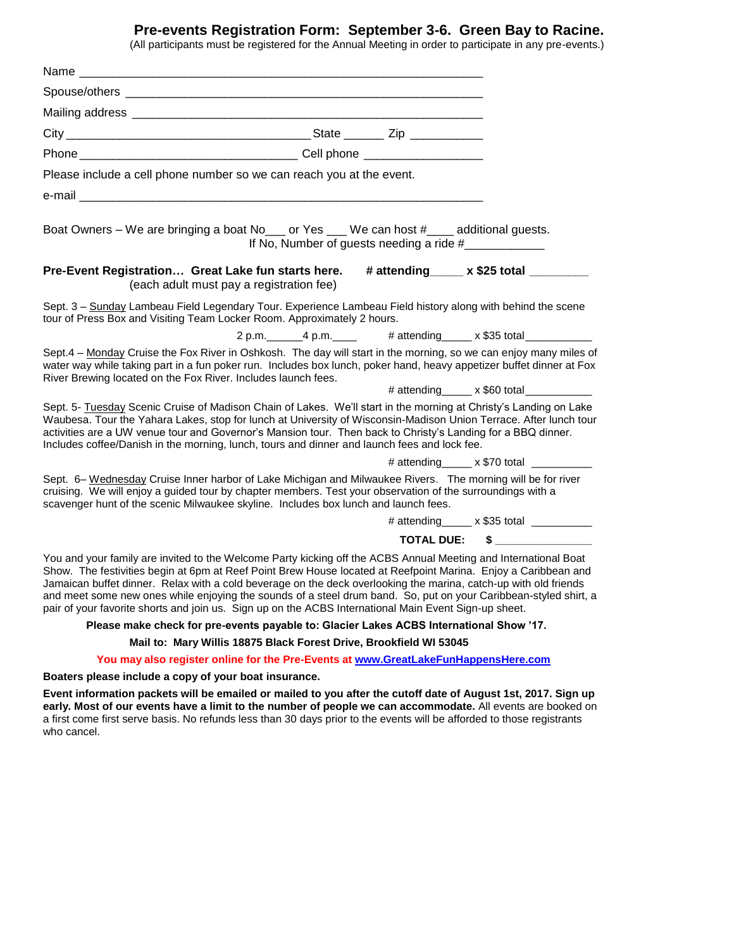## **Pre-events Registration Form: September 3-6. Green Bay to Racine.**

(All participants must be registered for the Annual Meeting in order to participate in any pre-events.)

| Please include a cell phone number so we can reach you at the event.<br>Boat Owners – We are bringing a boat No <sub>___</sub> or Yes ___ We can host #____ additional guests.<br>If No, Number of guests needing a ride #<br>Pre-Event Registration Great Lake fun starts here.<br>(each adult must pay a registration fee)<br>Sept. 3 - Sunday Lambeau Field Legendary Tour. Experience Lambeau Field history along with behind the scene<br>tour of Press Box and Visiting Team Locker Room. Approximately 2 hours.<br>2 p.m. 4 p.m. 4 p.m. # attending x \$35 total<br>Sept.4 - Monday Cruise the Fox River in Oshkosh. The day will start in the morning, so we can enjoy many miles of | # attending_____ x \$25 total ________    |
|----------------------------------------------------------------------------------------------------------------------------------------------------------------------------------------------------------------------------------------------------------------------------------------------------------------------------------------------------------------------------------------------------------------------------------------------------------------------------------------------------------------------------------------------------------------------------------------------------------------------------------------------------------------------------------------------|-------------------------------------------|
|                                                                                                                                                                                                                                                                                                                                                                                                                                                                                                                                                                                                                                                                                              |                                           |
|                                                                                                                                                                                                                                                                                                                                                                                                                                                                                                                                                                                                                                                                                              |                                           |
|                                                                                                                                                                                                                                                                                                                                                                                                                                                                                                                                                                                                                                                                                              |                                           |
|                                                                                                                                                                                                                                                                                                                                                                                                                                                                                                                                                                                                                                                                                              |                                           |
|                                                                                                                                                                                                                                                                                                                                                                                                                                                                                                                                                                                                                                                                                              |                                           |
|                                                                                                                                                                                                                                                                                                                                                                                                                                                                                                                                                                                                                                                                                              |                                           |
|                                                                                                                                                                                                                                                                                                                                                                                                                                                                                                                                                                                                                                                                                              |                                           |
|                                                                                                                                                                                                                                                                                                                                                                                                                                                                                                                                                                                                                                                                                              |                                           |
|                                                                                                                                                                                                                                                                                                                                                                                                                                                                                                                                                                                                                                                                                              |                                           |
|                                                                                                                                                                                                                                                                                                                                                                                                                                                                                                                                                                                                                                                                                              |                                           |
|                                                                                                                                                                                                                                                                                                                                                                                                                                                                                                                                                                                                                                                                                              |                                           |
| water way while taking part in a fun poker run. Includes box lunch, poker hand, heavy appetizer buffet dinner at Fox<br>River Brewing located on the Fox River. Includes launch fees.                                                                                                                                                                                                                                                                                                                                                                                                                                                                                                        |                                           |
|                                                                                                                                                                                                                                                                                                                                                                                                                                                                                                                                                                                                                                                                                              | # attending _____ x \$60 total __________ |
| Sept. 5- Tuesday Scenic Cruise of Madison Chain of Lakes. We'll start in the morning at Christy's Landing on Lake<br>Waubesa. Tour the Yahara Lakes, stop for lunch at University of Wisconsin-Madison Union Terrace. After lunch tour<br>activities are a UW venue tour and Governor's Mansion tour. Then back to Christy's Landing for a BBQ dinner.<br>Includes coffee/Danish in the morning, lunch, tours and dinner and launch fees and lock fee.                                                                                                                                                                                                                                       |                                           |
|                                                                                                                                                                                                                                                                                                                                                                                                                                                                                                                                                                                                                                                                                              | # attending $x $70$ total $x = 1$         |
| Sept. 6- Wednesday Cruise Inner harbor of Lake Michigan and Milwaukee Rivers. The morning will be for river<br>cruising. We will enjoy a guided tour by chapter members. Test your observation of the surroundings with a<br>scavenger hunt of the scenic Milwaukee skyline. Includes box lunch and launch fees.                                                                                                                                                                                                                                                                                                                                                                             |                                           |
|                                                                                                                                                                                                                                                                                                                                                                                                                                                                                                                                                                                                                                                                                              | # attending _____ x \$35 total _________  |
| <b>TOTAL DUE:</b>                                                                                                                                                                                                                                                                                                                                                                                                                                                                                                                                                                                                                                                                            |                                           |
| You and your family are invited to the Welcome Party kicking off the ACBS Annual Meeting and International Boat<br>Show. The festivities begin at 6pm at Reef Point Brew House located at Reefpoint Marina. Enjoy a Caribbean and<br>Jamaican buffet dinner. Relax with a cold beverage on the deck overlooking the marina, catch-up with old friends<br>and meet some new ones while enjoying the sounds of a steel drum band. So, put on your Caribbean-styled shirt, a<br>pair of your favorite shorts and join us. Sign up on the ACBS International Main Event Sign-up sheet.                                                                                                           |                                           |
| Please make check for pre-events payable to: Glacier Lakes ACBS International Show '17.                                                                                                                                                                                                                                                                                                                                                                                                                                                                                                                                                                                                      |                                           |
| Mail to: Mary Willis 18875 Black Forest Drive, Brookfield WI 53045                                                                                                                                                                                                                                                                                                                                                                                                                                                                                                                                                                                                                           |                                           |
| You may also register online for the Pre-Events at www.GreatLakeFunHappensHere.com                                                                                                                                                                                                                                                                                                                                                                                                                                                                                                                                                                                                           |                                           |
| Boaters please include a copy of your boat insurance.                                                                                                                                                                                                                                                                                                                                                                                                                                                                                                                                                                                                                                        |                                           |
| Event information packets will be emailed or mailed to you after the cutoff date of August 1st, 2017. Sign up<br>early. Most of our events have a limit to the number of people we can accommodate. All events are booked on<br>a first come first serve basis. No refunds less than 30 days prior to the events will be afforded to those registrants<br>who cancel.                                                                                                                                                                                                                                                                                                                        |                                           |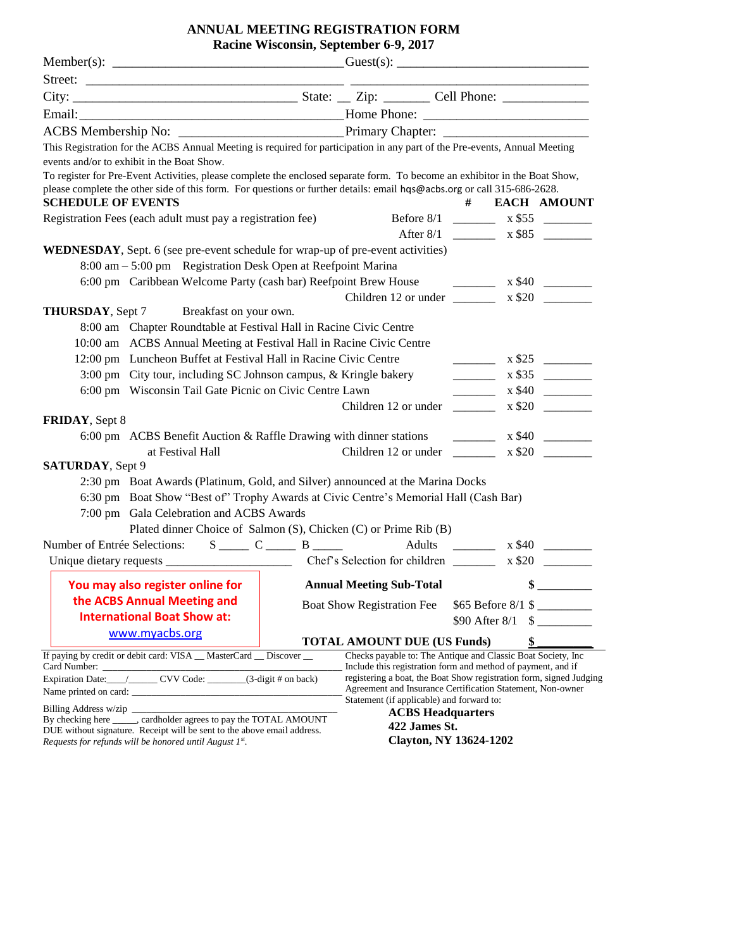# **ANNUAL MEETING REGISTRATION FORM**

| Racine Wisconsin, September 6-9, 2017 |  |
|---------------------------------------|--|
|---------------------------------------|--|

|                                                                                                                                                                                                      | This Registration for the ACBS Annual Meeting is required for participation in any part of the Pre-events, Annual Meeting<br>events and/or to exhibit in the Boat Show.<br>To register for Pre-Event Activities, please complete the enclosed separate form. To become an exhibitor in the Boat Show, |  |                                                                                                                                   |                                                                                                                                                                                                                                                                                                                                                                                                                                    |    |                      |
|------------------------------------------------------------------------------------------------------------------------------------------------------------------------------------------------------|-------------------------------------------------------------------------------------------------------------------------------------------------------------------------------------------------------------------------------------------------------------------------------------------------------|--|-----------------------------------------------------------------------------------------------------------------------------------|------------------------------------------------------------------------------------------------------------------------------------------------------------------------------------------------------------------------------------------------------------------------------------------------------------------------------------------------------------------------------------------------------------------------------------|----|----------------------|
| <b>SCHEDULE OF EVENTS</b>                                                                                                                                                                            | please complete the other side of this form. For questions or further details: email hqs@acbs.org or call 315-686-2628.                                                                                                                                                                               |  |                                                                                                                                   | #                                                                                                                                                                                                                                                                                                                                                                                                                                  |    | <b>EACH AMOUNT</b>   |
|                                                                                                                                                                                                      | Registration Fees (each adult must pay a registration fee)                                                                                                                                                                                                                                            |  |                                                                                                                                   |                                                                                                                                                                                                                                                                                                                                                                                                                                    |    |                      |
|                                                                                                                                                                                                      |                                                                                                                                                                                                                                                                                                       |  |                                                                                                                                   |                                                                                                                                                                                                                                                                                                                                                                                                                                    |    |                      |
|                                                                                                                                                                                                      | <b>WEDNESDAY</b> , Sept. 6 (see pre-event schedule for wrap-up of pre-event activities)<br>8:00 am – 5:00 pm Registration Desk Open at Reefpoint Marina                                                                                                                                               |  |                                                                                                                                   |                                                                                                                                                                                                                                                                                                                                                                                                                                    |    |                      |
|                                                                                                                                                                                                      | 6:00 pm Caribbean Welcome Party (cash bar) Reefpoint Brew House                                                                                                                                                                                                                                       |  |                                                                                                                                   |                                                                                                                                                                                                                                                                                                                                                                                                                                    |    | $\frac{1}{1}$ x \$40 |
|                                                                                                                                                                                                      |                                                                                                                                                                                                                                                                                                       |  | Children 12 or under $\frac{1}{2}$ x \$20 $\frac{1}{2}$                                                                           |                                                                                                                                                                                                                                                                                                                                                                                                                                    |    |                      |
|                                                                                                                                                                                                      | <b>THURSDAY</b> , Sept 7 Breakfast on your own.                                                                                                                                                                                                                                                       |  |                                                                                                                                   |                                                                                                                                                                                                                                                                                                                                                                                                                                    |    |                      |
|                                                                                                                                                                                                      | 8:00 am Chapter Roundtable at Festival Hall in Racine Civic Centre                                                                                                                                                                                                                                    |  |                                                                                                                                   |                                                                                                                                                                                                                                                                                                                                                                                                                                    |    |                      |
|                                                                                                                                                                                                      | 10:00 am ACBS Annual Meeting at Festival Hall in Racine Civic Centre                                                                                                                                                                                                                                  |  |                                                                                                                                   |                                                                                                                                                                                                                                                                                                                                                                                                                                    |    |                      |
|                                                                                                                                                                                                      | 12:00 pm Luncheon Buffet at Festival Hall in Racine Civic Centre                                                                                                                                                                                                                                      |  |                                                                                                                                   | $\begin{array}{ccccccccc} \textbf{1} & \textbf{1} & \textbf{1} & \textbf{1} & \textbf{1} & \textbf{1} & \textbf{1} & \textbf{1} & \textbf{1} & \textbf{1} & \textbf{1} & \textbf{1} & \textbf{1} & \textbf{1} & \textbf{1} & \textbf{1} & \textbf{1} & \textbf{1} & \textbf{1} & \textbf{1} & \textbf{1} & \textbf{1} & \textbf{1} & \textbf{1} & \textbf{1} & \textbf{1} & \textbf{1} & \textbf{1} & \textbf{1} & \textbf{1} & \$ |    | x \$25               |
|                                                                                                                                                                                                      | 3:00 pm City tour, including SC Johnson campus, & Kringle bakery                                                                                                                                                                                                                                      |  |                                                                                                                                   |                                                                                                                                                                                                                                                                                                                                                                                                                                    |    | $\frac{1}{1}$ x \$35 |
|                                                                                                                                                                                                      | 6:00 pm Wisconsin Tail Gate Picnic on Civic Centre Lawn                                                                                                                                                                                                                                               |  |                                                                                                                                   | $\mathcal{L} = \frac{1}{2} \sum_{i=1}^{n} \mathcal{L}_i$                                                                                                                                                                                                                                                                                                                                                                           |    | $x \$40$             |
|                                                                                                                                                                                                      |                                                                                                                                                                                                                                                                                                       |  | Children 12 or under ________                                                                                                     |                                                                                                                                                                                                                                                                                                                                                                                                                                    |    | x \$20               |
| FRIDAY, Sept 8                                                                                                                                                                                       |                                                                                                                                                                                                                                                                                                       |  |                                                                                                                                   |                                                                                                                                                                                                                                                                                                                                                                                                                                    |    |                      |
|                                                                                                                                                                                                      | 6:00 pm ACBS Benefit Auction & Raffle Drawing with dinner stations                                                                                                                                                                                                                                    |  |                                                                                                                                   | $\overline{\phantom{a}}$                                                                                                                                                                                                                                                                                                                                                                                                           |    | x \$40               |
|                                                                                                                                                                                                      | at Festival Hall                                                                                                                                                                                                                                                                                      |  | Children 12 or under                                                                                                              |                                                                                                                                                                                                                                                                                                                                                                                                                                    |    | $x \$20$             |
| <b>SATURDAY</b> , Sept 9                                                                                                                                                                             |                                                                                                                                                                                                                                                                                                       |  |                                                                                                                                   |                                                                                                                                                                                                                                                                                                                                                                                                                                    |    |                      |
|                                                                                                                                                                                                      | 2:30 pm Boat Awards (Platinum, Gold, and Silver) announced at the Marina Docks                                                                                                                                                                                                                        |  |                                                                                                                                   |                                                                                                                                                                                                                                                                                                                                                                                                                                    |    |                      |
|                                                                                                                                                                                                      | 6:30 pm Boat Show "Best of" Trophy Awards at Civic Centre's Memorial Hall (Cash Bar)                                                                                                                                                                                                                  |  |                                                                                                                                   |                                                                                                                                                                                                                                                                                                                                                                                                                                    |    |                      |
|                                                                                                                                                                                                      | 7:00 pm Gala Celebration and ACBS Awards                                                                                                                                                                                                                                                              |  |                                                                                                                                   |                                                                                                                                                                                                                                                                                                                                                                                                                                    |    |                      |
|                                                                                                                                                                                                      | Plated dinner Choice of Salmon (S), Chicken (C) or Prime Rib (B)                                                                                                                                                                                                                                      |  |                                                                                                                                   |                                                                                                                                                                                                                                                                                                                                                                                                                                    |    |                      |
|                                                                                                                                                                                                      | Number of Entrée Selections: S C B B Adults C                                                                                                                                                                                                                                                         |  |                                                                                                                                   |                                                                                                                                                                                                                                                                                                                                                                                                                                    |    |                      |
|                                                                                                                                                                                                      |                                                                                                                                                                                                                                                                                                       |  |                                                                                                                                   |                                                                                                                                                                                                                                                                                                                                                                                                                                    |    | x \$20               |
|                                                                                                                                                                                                      | <b>You may also register online for</b> Annual Meeting Sub-Total                                                                                                                                                                                                                                      |  |                                                                                                                                   |                                                                                                                                                                                                                                                                                                                                                                                                                                    | \$ |                      |
|                                                                                                                                                                                                      | the ACBS Annual Meeting and                                                                                                                                                                                                                                                                           |  | <b>Boat Show Registration Fee</b>                                                                                                 |                                                                                                                                                                                                                                                                                                                                                                                                                                    |    | $$65$ Before 8/1 \$  |
|                                                                                                                                                                                                      | <b>International Boat Show at:</b>                                                                                                                                                                                                                                                                    |  |                                                                                                                                   |                                                                                                                                                                                                                                                                                                                                                                                                                                    |    | \$90 After $8/1$ \$  |
|                                                                                                                                                                                                      | www.myacbs.org                                                                                                                                                                                                                                                                                        |  |                                                                                                                                   |                                                                                                                                                                                                                                                                                                                                                                                                                                    |    |                      |
|                                                                                                                                                                                                      |                                                                                                                                                                                                                                                                                                       |  | <b>TOTAL AMOUNT DUE (US Funds)</b>                                                                                                |                                                                                                                                                                                                                                                                                                                                                                                                                                    | \$ |                      |
| If paying by credit or debit card: VISA __ MasterCard __ Discover __<br>Checks payable to: The Antique and Classic Boat Society, Inc<br>Include this registration form and method of payment, and if |                                                                                                                                                                                                                                                                                                       |  |                                                                                                                                   |                                                                                                                                                                                                                                                                                                                                                                                                                                    |    |                      |
|                                                                                                                                                                                                      |                                                                                                                                                                                                                                                                                                       |  | registering a boat, the Boat Show registration form, signed Judging<br>Agreement and Insurance Certification Statement, Non-owner |                                                                                                                                                                                                                                                                                                                                                                                                                                    |    |                      |
|                                                                                                                                                                                                      |                                                                                                                                                                                                                                                                                                       |  | Statement (if applicable) and forward to:                                                                                         |                                                                                                                                                                                                                                                                                                                                                                                                                                    |    |                      |
|                                                                                                                                                                                                      | By checking here ______, cardholder agrees to pay the TOTAL AMOUNT                                                                                                                                                                                                                                    |  | <b>ACBS Headquarters</b><br>422 James St.                                                                                         |                                                                                                                                                                                                                                                                                                                                                                                                                                    |    |                      |
|                                                                                                                                                                                                      | DUE without signature. Receipt will be sent to the above email address.                                                                                                                                                                                                                               |  |                                                                                                                                   |                                                                                                                                                                                                                                                                                                                                                                                                                                    |    |                      |
| Requests for refunds will be honored until August $1^{st}$ .                                                                                                                                         | <b>Clayton, NY 13624-1202</b>                                                                                                                                                                                                                                                                         |  |                                                                                                                                   |                                                                                                                                                                                                                                                                                                                                                                                                                                    |    |                      |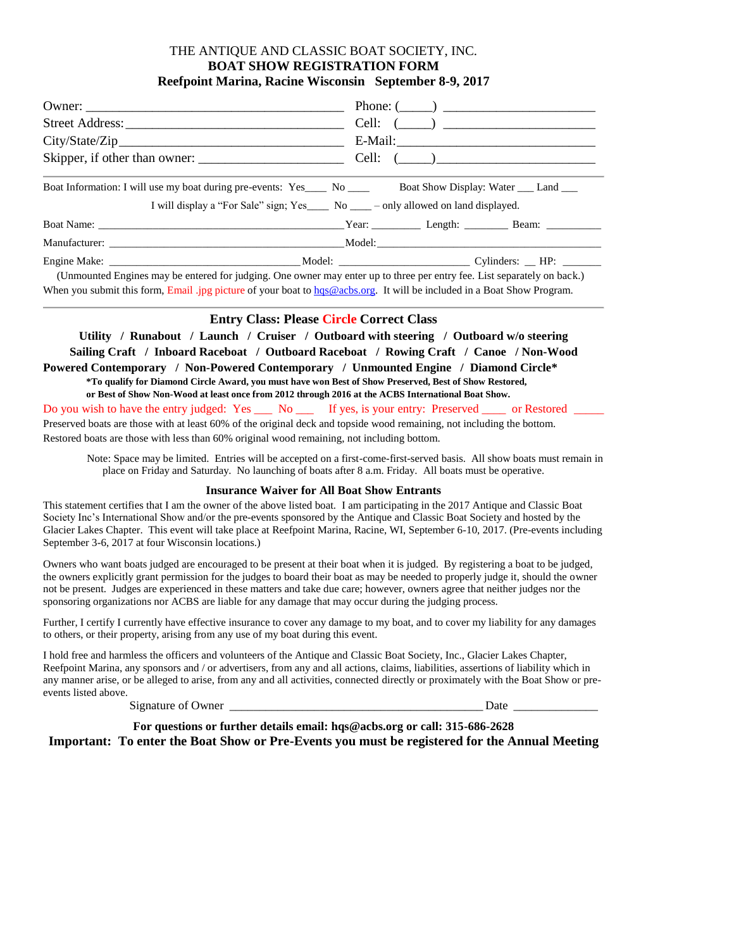## THE ANTIQUE AND CLASSIC BOAT SOCIETY, INC. **BOAT SHOW REGISTRATION FORM Reefpoint Marina, Racine Wisconsin September 8-9, 2017**

|                                                                                                                         | Phone: $(\_\_)$ |  |  |  |  |  |
|-------------------------------------------------------------------------------------------------------------------------|-----------------|--|--|--|--|--|
|                                                                                                                         | Cell: $(\_\_)$  |  |  |  |  |  |
| City/State/Zip                                                                                                          |                 |  |  |  |  |  |
|                                                                                                                         | Cell: $(\_\_)$  |  |  |  |  |  |
| Boat Information: I will use my boat during pre-events: Yes____ No ____ Boat Show Display: Water ___ Land ___           |                 |  |  |  |  |  |
| I will display a "For Sale" sign; Yes____ No ___ - only allowed on land displayed.                                      |                 |  |  |  |  |  |
|                                                                                                                         |                 |  |  |  |  |  |
|                                                                                                                         |                 |  |  |  |  |  |
|                                                                                                                         |                 |  |  |  |  |  |
| (Unmounted Engines may be entered for judging. One owner may enter up to three per entry fee. List separately on back.) |                 |  |  |  |  |  |

When you submit this form, Email .jpg picture of your boat to [hqs@acbs.org.](mailto:hqs@acbs.org) It will be included in a Boat Show Program.

### **Entry Class: Please Circle Correct Class**

**Utility / Runabout / Launch / Cruiser / Outboard with steering / Outboard w/o steering Sailing Craft / Inboard Raceboat / Outboard Raceboat / Rowing Craft / Canoe / Non-Wood Powered Contemporary / Non-Powered Contemporary / Unmounted Engine / Diamond Circle\* \*To qualify for Diamond Circle Award, you must have won Best of Show Preserved, Best of Show Restored, or Best of Show Non-Wood at least once from 2012 through 2016 at the ACBS International Boat Show.** Do you wish to have the entry judged: Yes \_\_\_ No \_\_\_ If yes, is your entry: Preserved \_\_\_\_ or Restored \_\_\_\_ Preserved boats are those with at least 60% of the original deck and topside wood remaining, not including the bottom. Restored boats are those with less than 60% original wood remaining, not including bottom.

Note: Space may be limited. Entries will be accepted on a first-come-first-served basis. All show boats must remain in place on Friday and Saturday. No launching of boats after 8 a.m. Friday. All boats must be operative.

### **Insurance Waiver for All Boat Show Entrants**

This statement certifies that I am the owner of the above listed boat. I am participating in the 2017 Antique and Classic Boat Society Inc's International Show and/or the pre-events sponsored by the Antique and Classic Boat Society and hosted by the Glacier Lakes Chapter. This event will take place at Reefpoint Marina, Racine, WI, September 6-10, 2017. (Pre-events including September 3-6, 2017 at four Wisconsin locations.)

Owners who want boats judged are encouraged to be present at their boat when it is judged. By registering a boat to be judged, the owners explicitly grant permission for the judges to board their boat as may be needed to properly judge it, should the owner not be present. Judges are experienced in these matters and take due care; however, owners agree that neither judges nor the sponsoring organizations nor ACBS are liable for any damage that may occur during the judging process.

Further, I certify I currently have effective insurance to cover any damage to my boat, and to cover my liability for any damages to others, or their property, arising from any use of my boat during this event.

I hold free and harmless the officers and volunteers of the Antique and Classic Boat Society, Inc., Glacier Lakes Chapter, Reefpoint Marina, any sponsors and / or advertisers, from any and all actions, claims, liabilities, assertions of liability which in any manner arise, or be alleged to arise, from any and all activities, connected directly or proximately with the Boat Show or preevents listed above.

Signature of Owner \_\_\_\_\_\_\_\_\_\_\_\_\_\_\_\_\_\_\_\_\_\_\_\_\_\_\_\_\_\_\_\_\_\_\_\_\_\_\_\_\_\_ Date \_\_\_\_\_\_\_\_\_\_\_\_\_\_

**For questions or further details email: hqs@acbs.org or call: 315-686-2628 Important: To enter the Boat Show or Pre-Events you must be registered for the Annual Meeting**